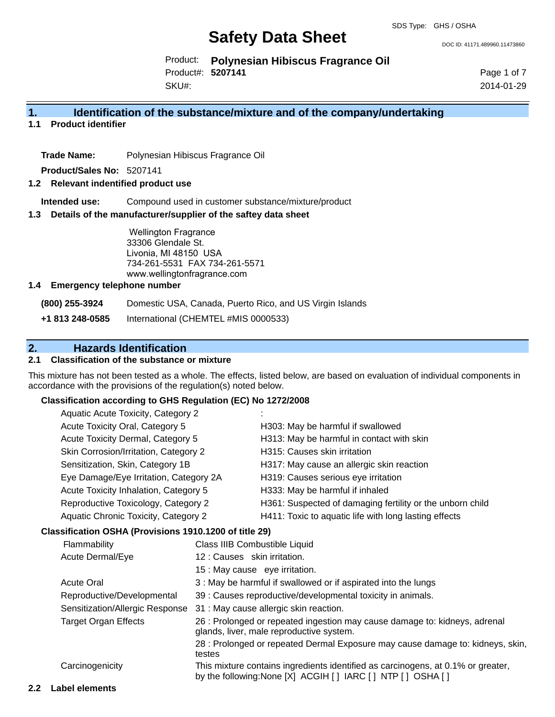DOC ID: 41171.489960.11473860

Product: **Polynesian Hibiscus Fragrance Oil** Product#: **5207141**

SKU#:

Page 1 of 7 2014-01-29

### **1. Identification of the substance/mixture and of the company/undertaking**

**1.1 Product identifier**

**Trade Name:** Polynesian Hibiscus Fragrance Oil

**Product/Sales No:** 5207141

#### **1.2 Relevant indentified product use**

**Intended use:** Compound used in customer substance/mixture/product

#### **1.3 Details of the manufacturer/supplier of the saftey data sheet**

Wellington Fragrance 33306 Glendale St. Livonia, MI 48150 USA 734-261-5531 FAX 734-261-5571 www.wellingtonfragrance.com

#### **1.4 Emergency telephone number**

**(800) 255-3924** Domestic USA, Canada, Puerto Rico, and US Virgin Islands

**+1 813 248-0585** International (CHEMTEL #MIS 0000533)

# **2. Hazards Identification**

### **2.1 Classification of the substance or mixture**

This mixture has not been tested as a whole. The effects, listed below, are based on evaluation of individual components in accordance with the provisions of the regulation(s) noted below.

#### **Classification according to GHS Regulation (EC) No 1272/2008**

| Aquatic Acute Toxicity, Category 2                  |                                                           |
|-----------------------------------------------------|-----------------------------------------------------------|
| Acute Toxicity Oral, Category 5                     | H303: May be harmful if swallowed                         |
| Acute Toxicity Dermal, Category 5                   | H313: May be harmful in contact with skin                 |
| Skin Corrosion/Irritation, Category 2               | H315: Causes skin irritation                              |
| Sensitization, Skin, Category 1B                    | H317: May cause an allergic skin reaction                 |
| Eye Damage/Eye Irritation, Category 2A              | H319: Causes serious eye irritation                       |
| Acute Toxicity Inhalation, Category 5               | H333: May be harmful if inhaled                           |
| Reproductive Toxicology, Category 2                 | H361: Suspected of damaging fertility or the unborn child |
| Aquatic Chronic Toxicity, Category 2                | H411: Toxic to aquatic life with long lasting effects     |
| esification OSHA (Provisions 1910 1200 of title 29) |                                                           |

#### **Classification OSHA (Provisions 1910.1200 of title 29)**

| Flammability                    | Class IIIB Combustible Liquid                                                                                                                  |
|---------------------------------|------------------------------------------------------------------------------------------------------------------------------------------------|
| Acute Dermal/Eye                | 12: Causes skin irritation.                                                                                                                    |
|                                 | 15 : May cause eye irritation.                                                                                                                 |
| <b>Acute Oral</b>               | 3 : May be harmful if swallowed or if aspirated into the lungs                                                                                 |
| Reproductive/Developmental      | 39 : Causes reproductive/developmental toxicity in animals.                                                                                    |
| Sensitization/Allergic Response | 31 : May cause allergic skin reaction.                                                                                                         |
| <b>Target Organ Effects</b>     | 26 : Prolonged or repeated ingestion may cause damage to: kidneys, adrenal<br>glands, liver, male reproductive system.                         |
|                                 | 28 : Prolonged or repeated Dermal Exposure may cause damage to: kidneys, skin,<br>testes                                                       |
| Carcinogenicity                 | This mixture contains ingredients identified as carcinogens, at 0.1% or greater,<br>by the following: None [X] ACGIH [] IARC [] NTP [] OSHA [] |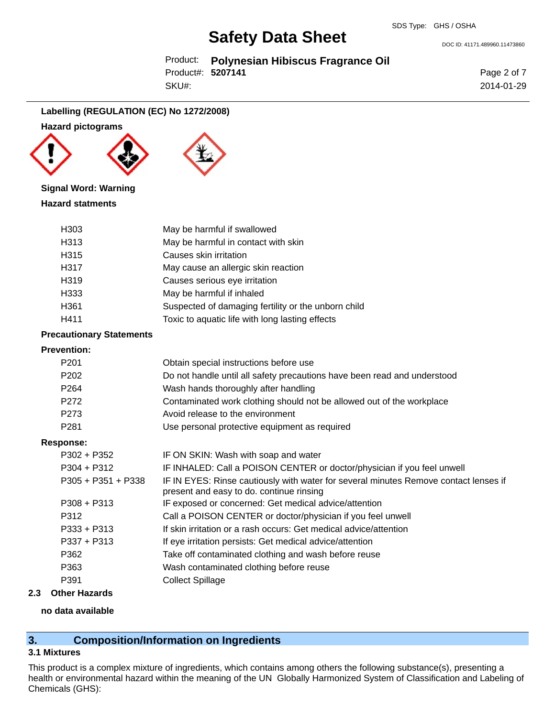Product: **Polynesian Hibiscus Fragrance Oil** Product#: **5207141**

SKU#:

Page 2 of 7 2014-01-29

DOC ID: 41171.489960.11473860

### **Labelling (REGULATION (EC) No 1272/2008)**

#### **Hazard pictograms**





#### **Signal Word: Warning**

### **Hazard statments**

| H303             | May be harmful if swallowed                         |
|------------------|-----------------------------------------------------|
| H313             | May be harmful in contact with skin                 |
| H <sub>315</sub> | Causes skin irritation                              |
| H317             | May cause an allergic skin reaction                 |
| H <sub>319</sub> | Causes serious eye irritation                       |
| H333             | May be harmful if inhaled                           |
| H <sub>361</sub> | Suspected of damaging fertility or the unborn child |
| H411             | Toxic to aquatic life with long lasting effects     |

#### **Precautionary Statements**

#### **Prevention:**

| P <sub>201</sub>     | Obtain special instructions before use                                                                                           |
|----------------------|----------------------------------------------------------------------------------------------------------------------------------|
| P <sub>202</sub>     | Do not handle until all safety precautions have been read and understood                                                         |
| P <sub>264</sub>     | Wash hands thoroughly after handling                                                                                             |
| P272                 | Contaminated work clothing should not be allowed out of the workplace                                                            |
| P273                 | Avoid release to the environment                                                                                                 |
| P <sub>281</sub>     | Use personal protective equipment as required                                                                                    |
| <b>Response:</b>     |                                                                                                                                  |
| $P302 + P352$        | IF ON SKIN: Wash with soap and water                                                                                             |
| $P304 + P312$        | IF INHALED: Call a POISON CENTER or doctor/physician if you feel unwell                                                          |
| $P305 + P351 + P338$ | IF IN EYES: Rinse cautiously with water for several minutes Remove contact lenses if<br>present and easy to do. continue rinsing |
| $P308 + P313$        | IF exposed or concerned: Get medical advice/attention                                                                            |
| P312                 | Call a POISON CENTER or doctor/physician if you feel unwell                                                                      |
| $P333 + P313$        | If skin irritation or a rash occurs: Get medical advice/attention                                                                |
| $P337 + P313$        | If eye irritation persists: Get medical advice/attention                                                                         |
| P362                 | Take off contaminated clothing and wash before reuse                                                                             |
| P363                 | Wash contaminated clothing before reuse                                                                                          |
| P391                 | <b>Collect Spillage</b>                                                                                                          |
|                      |                                                                                                                                  |

### **2.3 Other Hazards**

#### **no data available**

# **3. Composition/Information on Ingredients**

### **3.1 Mixtures**

This product is a complex mixture of ingredients, which contains among others the following substance(s), presenting a health or environmental hazard within the meaning of the UN Globally Harmonized System of Classification and Labeling of Chemicals (GHS):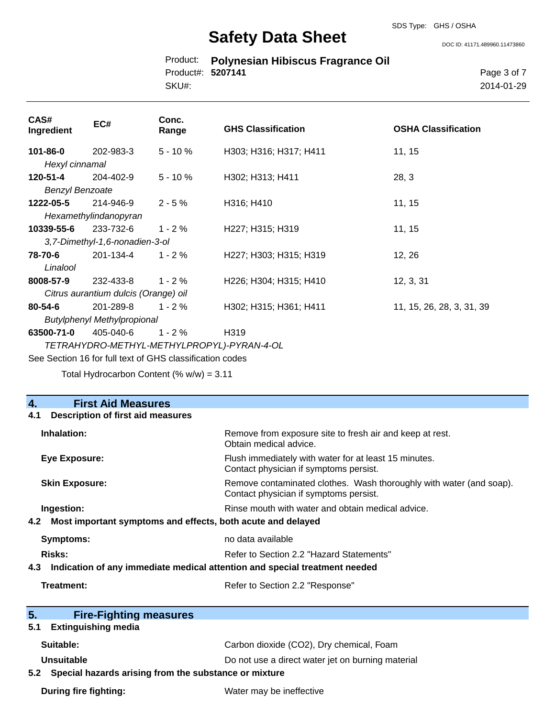Product: **Polynesian Hibiscus Fragrance Oil** Product#: **5207141**

SKU#:

Page 3 of 7 2014-01-29

DOC ID: 41171.489960.11473860

| CAS#<br>Ingredient                         | EC#                            | Conc.<br>Range | <b>GHS Classification</b> | <b>OSHA Classification</b> |
|--------------------------------------------|--------------------------------|----------------|---------------------------|----------------------------|
| 101-86-0                                   | 202-983-3                      | $5 - 10%$      | H303; H316; H317; H411    | 11, 15                     |
| Hexyl cinnamal                             |                                |                |                           |                            |
| 120-51-4                                   | 204-402-9                      | $5 - 10%$      | H302; H313; H411          | 28, 3                      |
| <b>Benzyl Benzoate</b>                     |                                |                |                           |                            |
| 1222-05-5                                  | 214-946-9                      | $2 - 5%$       | H316; H410                | 11, 15                     |
|                                            | Hexamethylindanopyran          |                |                           |                            |
| 10339-55-6                                 | 233-732-6                      | $1 - 2%$       | H227; H315; H319          | 11, 15                     |
|                                            | 3,7-Dimethyl-1,6-nonadien-3-ol |                |                           |                            |
| 78-70-6                                    | 201-134-4                      | $1 - 2%$       | H227; H303; H315; H319    | 12, 26                     |
| Linalool                                   |                                |                |                           |                            |
| 8008-57-9                                  | 232-433-8                      | $1 - 2 \%$     | H226; H304; H315; H410    | 12, 3, 31                  |
| Citrus aurantium dulcis (Orange) oil       |                                |                |                           |                            |
| 80-54-6                                    | 201-289-8                      | $1 - 2%$       | H302; H315; H361; H411    | 11, 15, 26, 28, 3, 31, 39  |
| <b>Butylphenyl Methylpropional</b>         |                                |                |                           |                            |
| 63500-71-0                                 | 405-040-6                      | $1 - 2 \%$     | H319                      |                            |
| TETRAHYDRO-METHYL-METHYLPROPYL)-PYRAN-4-OL |                                |                |                           |                            |

See Section 16 for full text of GHS classification codes

Total Hydrocarbon Content (% w/w) = 3.11

| <b>First Aid Measures</b><br>$\overline{4}$ .                                     |                                                                                                               |  |  |
|-----------------------------------------------------------------------------------|---------------------------------------------------------------------------------------------------------------|--|--|
| <b>Description of first aid measures</b><br>4.1                                   |                                                                                                               |  |  |
| Inhalation:                                                                       | Remove from exposure site to fresh air and keep at rest.<br>Obtain medical advice.                            |  |  |
| <b>Eye Exposure:</b>                                                              | Flush immediately with water for at least 15 minutes.<br>Contact physician if symptoms persist.               |  |  |
| <b>Skin Exposure:</b>                                                             | Remove contaminated clothes. Wash thoroughly with water (and soap).<br>Contact physician if symptoms persist. |  |  |
| Rinse mouth with water and obtain medical advice.<br>Ingestion:                   |                                                                                                               |  |  |
| Most important symptoms and effects, both acute and delayed<br>4.2                |                                                                                                               |  |  |
| <b>Symptoms:</b>                                                                  | no data available                                                                                             |  |  |
| Risks:                                                                            | Refer to Section 2.2 "Hazard Statements"                                                                      |  |  |
| Indication of any immediate medical attention and special treatment needed<br>4.3 |                                                                                                               |  |  |
| <b>Treatment:</b>                                                                 | Refer to Section 2.2 "Response"                                                                               |  |  |
| 5.<br><b>Fire-Fighting measures</b>                                               |                                                                                                               |  |  |
| <b>Extinguishing media</b><br>5.1                                                 |                                                                                                               |  |  |
| Suitable:                                                                         | Carbon dioxide (CO2), Dry chemical, Foam                                                                      |  |  |
| Unsuitable                                                                        | Do not use a direct water jet on burning material                                                             |  |  |
| Special hazards arising from the substance or mixture<br>5.2                      |                                                                                                               |  |  |
| <b>During fire fighting:</b>                                                      | Water may be ineffective                                                                                      |  |  |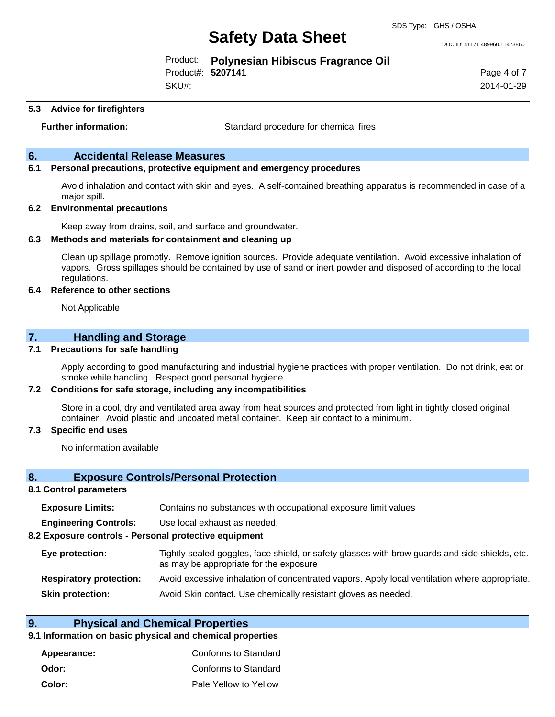DOC ID: 41171.489960.11473860

Product: **Polynesian Hibiscus Fragrance Oil** Product#: **5207141**

SKU#:

Page 4 of 7 2014-01-29

#### **5.3 Advice for firefighters**

**Further information:** Standard procedure for chemical fires

### **6. Accidental Release Measures**

#### **6.1 Personal precautions, protective equipment and emergency procedures**

Avoid inhalation and contact with skin and eyes. A self-contained breathing apparatus is recommended in case of a major spill.

#### **6.2 Environmental precautions**

Keep away from drains, soil, and surface and groundwater.

#### **6.3 Methods and materials for containment and cleaning up**

Clean up spillage promptly. Remove ignition sources. Provide adequate ventilation. Avoid excessive inhalation of vapors. Gross spillages should be contained by use of sand or inert powder and disposed of according to the local regulations.

#### **6.4 Reference to other sections**

Not Applicable

### **7. Handling and Storage**

#### **7.1 Precautions for safe handling**

Apply according to good manufacturing and industrial hygiene practices with proper ventilation. Do not drink, eat or smoke while handling. Respect good personal hygiene.

#### **7.2 Conditions for safe storage, including any incompatibilities**

Store in a cool, dry and ventilated area away from heat sources and protected from light in tightly closed original container. Avoid plastic and uncoated metal container. Keep air contact to a minimum.

#### **7.3 Specific end uses**

No information available

### **8. Exposure Controls/Personal Protection**

#### **8.1 Control parameters**

| <b>Exposure Limits:</b>      | Contains no substances with occupational exposure limit values |
|------------------------------|----------------------------------------------------------------|
| <b>Engineering Controls:</b> | Use local exhaust as needed.                                   |
| - -                          |                                                                |

**8.2 Exposure controls - Personal protective equipment**

**Eye protection:** Tightly sealed goggles, face shield, or safety glasses with brow guards and side shields, etc. as may be appropriate for the exposure

- **Respiratory protection:** Avoid excessive inhalation of concentrated vapors. Apply local ventilation where appropriate.
- **Skin protection:** Avoid Skin contact. Use chemically resistant gloves as needed.

## **9. Physical and Chemical Properties**

### **9.1 Information on basic physical and chemical properties**

**Appearance:** Conforms to Standard **Odor:** Conforms to Standard **Color:** Pale Yellow to Yellow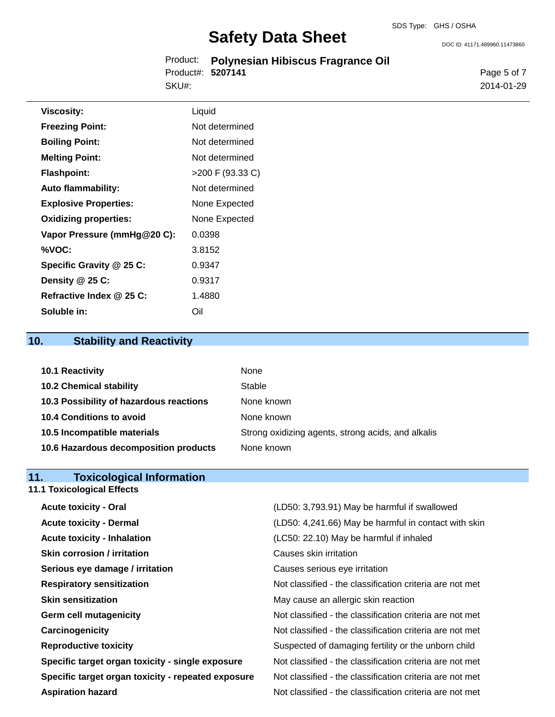DOC ID: 41171.489960.11473860

|                   | Product: Polynesian Hibiscus Fragrance Oil |
|-------------------|--------------------------------------------|
| Product#: 5207141 |                                            |
| SKU#:             |                                            |

Page 5 of 7 2014-01-29

| <b>Viscosity:</b>            | Liquid           |
|------------------------------|------------------|
| <b>Freezing Point:</b>       | Not determined   |
| <b>Boiling Point:</b>        | Not determined   |
| <b>Melting Point:</b>        | Not determined   |
| <b>Flashpoint:</b>           | >200 F (93.33 C) |
| <b>Auto flammability:</b>    | Not determined   |
| <b>Explosive Properties:</b> | None Expected    |
| <b>Oxidizing properties:</b> | None Expected    |
| Vapor Pressure (mmHg@20 C):  | 0.0398           |
| %VOC:                        | 3.8152           |
| Specific Gravity @ 25 C:     | 0.9347           |
| Density @ 25 C:              | 0.9317           |
| Refractive Index @ 25 C:     | 1.4880           |
| Soluble in:                  | Oil              |

# **10. Stability and Reactivity**

| 10.1 Reactivity                         | None                                               |
|-----------------------------------------|----------------------------------------------------|
| <b>10.2 Chemical stability</b>          | Stable                                             |
| 10.3 Possibility of hazardous reactions | None known                                         |
| 10.4 Conditions to avoid                | None known                                         |
| 10.5 Incompatible materials             | Strong oxidizing agents, strong acids, and alkalis |
| 10.6 Hazardous decomposition products   | None known                                         |

# **11. Toxicological Information**

|  | <b>11.1 Toxicological Effects</b> |  |
|--|-----------------------------------|--|
|  |                                   |  |

| <b>Acute toxicity - Oral</b>                       | (LD50: 3,793.91) May be harmful if swallowed             |
|----------------------------------------------------|----------------------------------------------------------|
| <b>Acute toxicity - Dermal</b>                     | (LD50: 4,241.66) May be harmful in contact with skin     |
| <b>Acute toxicity - Inhalation</b>                 | (LC50: 22.10) May be harmful if inhaled                  |
| <b>Skin corrosion / irritation</b>                 | Causes skin irritation                                   |
| Serious eye damage / irritation                    | Causes serious eye irritation                            |
| <b>Respiratory sensitization</b>                   | Not classified - the classification criteria are not met |
| <b>Skin sensitization</b>                          | May cause an allergic skin reaction                      |
| <b>Germ cell mutagenicity</b>                      | Not classified - the classification criteria are not met |
| Carcinogenicity                                    | Not classified - the classification criteria are not met |
| <b>Reproductive toxicity</b>                       | Suspected of damaging fertility or the unborn child      |
| Specific target organ toxicity - single exposure   | Not classified - the classification criteria are not met |
| Specific target organ toxicity - repeated exposure | Not classified - the classification criteria are not met |
| <b>Aspiration hazard</b>                           | Not classified - the classification criteria are not met |
|                                                    |                                                          |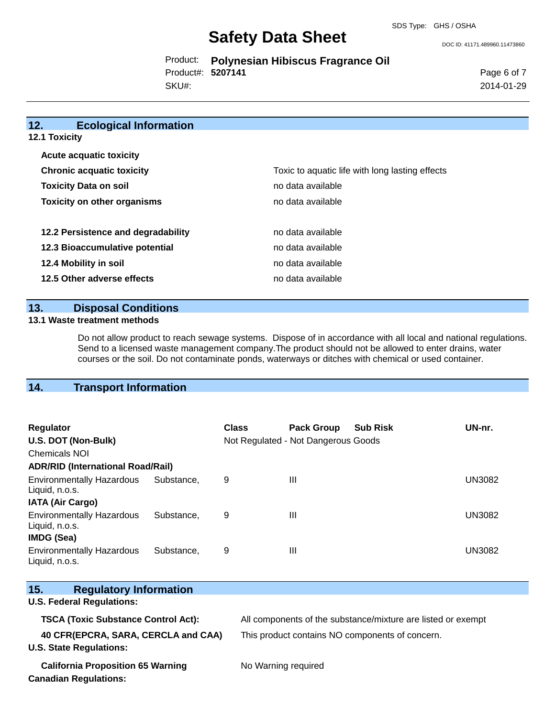DOC ID: 41171.489960.11473860

Product: **Polynesian Hibiscus Fragrance Oil** SKU#: Product#: **5207141**

Page 6 of 7 2014-01-29

| 12.<br><b>Ecological Information</b> |                                                 |  |  |  |  |
|--------------------------------------|-------------------------------------------------|--|--|--|--|
| <b>12.1 Toxicity</b>                 |                                                 |  |  |  |  |
| <b>Acute acquatic toxicity</b>       |                                                 |  |  |  |  |
| <b>Chronic acquatic toxicity</b>     | Toxic to aquatic life with long lasting effects |  |  |  |  |
| <b>Toxicity Data on soil</b>         | no data available                               |  |  |  |  |
| <b>Toxicity on other organisms</b>   | no data available                               |  |  |  |  |
| 12.2 Persistence and degradability   | no data available                               |  |  |  |  |
| 12.3 Bioaccumulative potential       | no data available                               |  |  |  |  |
| 12.4 Mobility in soil                | no data available                               |  |  |  |  |
| 12.5 Other adverse effects           | no data available                               |  |  |  |  |

### **13. Disposal Conditions**

#### **13.1 Waste treatment methods**

Do not allow product to reach sewage systems. Dispose of in accordance with all local and national regulations. Send to a licensed waste management company.The product should not be allowed to enter drains, water courses or the soil. Do not contaminate ponds, waterways or ditches with chemical or used container.

# **14. Transport Information**

| Regulator<br>U.S. DOT (Non-Bulk)                   |            | <b>Class</b> | <b>Pack Group</b><br>Not Regulated - Not Dangerous Goods | <b>Sub Risk</b> | UN-nr.        |  |
|----------------------------------------------------|------------|--------------|----------------------------------------------------------|-----------------|---------------|--|
| <b>Chemicals NOI</b>                               |            |              |                                                          |                 |               |  |
| <b>ADR/RID (International Road/Rail)</b>           |            |              |                                                          |                 |               |  |
| <b>Environmentally Hazardous</b><br>Liquid, n.o.s. | Substance. | 9            | $\mathbf{III}$                                           |                 | <b>UN3082</b> |  |
| <b>IATA (Air Cargo)</b>                            |            |              |                                                          |                 |               |  |
| <b>Environmentally Hazardous</b><br>Liquid, n.o.s. | Substance. | 9            | $\mathbf{III}$                                           |                 | <b>UN3082</b> |  |
| <b>IMDG (Sea)</b>                                  |            |              |                                                          |                 |               |  |
| <b>Environmentally Hazardous</b><br>Liquid, n.o.s. | Substance. | 9            | $\mathbf{III}$                                           |                 | UN3082        |  |

| 15.<br><b>Regulatory Information</b><br><b>U.S. Federal Regulations:</b> |                                                              |
|--------------------------------------------------------------------------|--------------------------------------------------------------|
| <b>TSCA (Toxic Substance Control Act):</b>                               | All components of the substance/mixture are listed or exempt |
| 40 CFR(EPCRA, SARA, CERCLA and CAA)<br><b>U.S. State Regulations:</b>    | This product contains NO components of concern.              |
| <b>California Proposition 65 Warning</b><br><b>Canadian Regulations:</b> | No Warning required                                          |